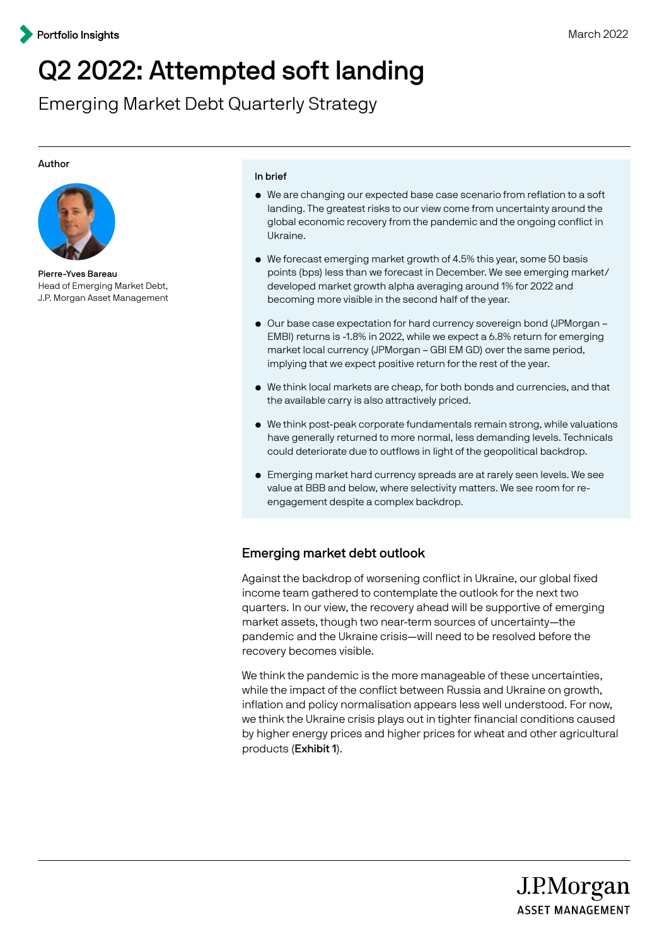# Q2 2022: Attempted soft landing

Emerging Market Debt Quarterly Strategy

#### Author



Pierre-Yves Bareau Head of Emerging Market Debt, J.P. Morgan Asset Management

#### In brief

- We are changing our expected base case scenario from reflation to a soft landing. The greatest risks to our view come from uncertainty around the global economic recovery from the pandemic and the ongoing conflict in Ukraine.
- We forecast emerging market growth of 4.5% this year, some 50 basis points (bps) less than we forecast in December. We see emerging market/ developed market growth alpha averaging around 1% for 2022 and becoming more visible in the second half of the year.
- Our base case expectation for hard currency sovereign bond (JPMorgan EMBI) returns is -1.8% in 2022, while we expect a 6.8% return for emerging market local currency (JPMorgan – GBI EM GD) over the same period, implying that we expect positive return for the rest of the year.
- We think local markets are cheap, for both bonds and currencies, and that the available carry is also attractively priced.
- We think post-peak corporate fundamentals remain strong, while valuations have generally returned to more normal, less demanding levels. Technicals could deteriorate due to outflows in light of the geopolitical backdrop.
- Emerging market hard currency spreads are at rarely seen levels. We see value at BBB and below, where selectivity matters. We see room for reengagement despite a complex backdrop.

## Emerging market debt outlook

Against the backdrop of worsening conflict in Ukraine, our global fixed income team gathered to contemplate the outlook for the next two quarters. In our view, the recovery ahead will be supportive of emerging market assets, though two near-term sources of uncertainty—the pandemic and the Ukraine crisis—will need to be resolved before the recovery becomes visible.

We think the pandemic is the more manageable of these uncertainties, while the impact of the conflict between Russia and Ukraine on growth, inflation and policy normalisation appears less well understood. For now, we think the Ukraine crisis plays out in tighter financial conditions caused by higher energy prices and higher prices for wheat and other agricultural products (Exhibit 1).

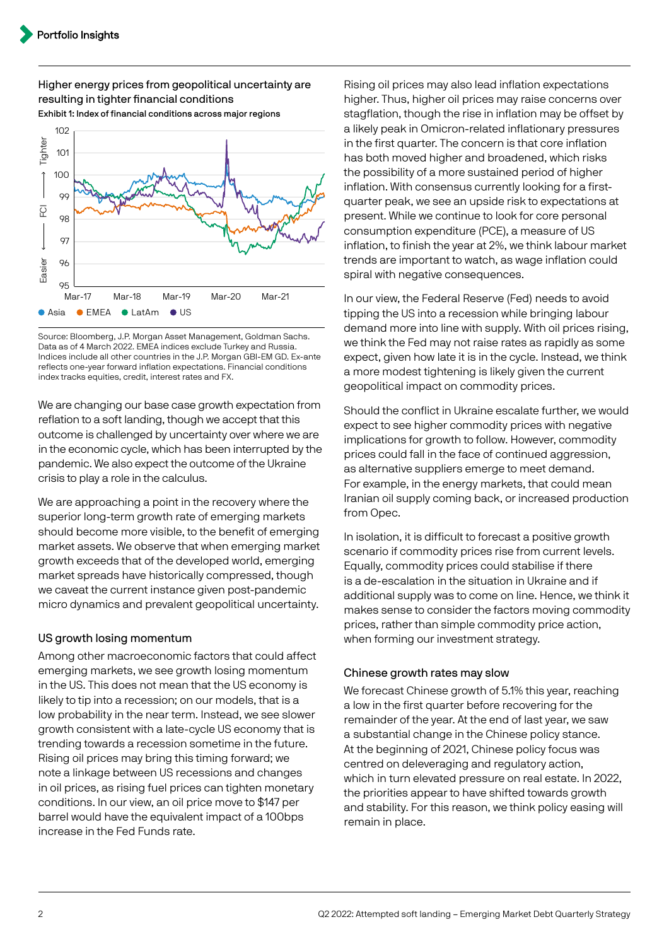#### Higher energy prices from geopolitical uncertainty are resulting in tighter financial conditions Exhibit 1: Index of financial conditions across major regions



Source: Bloomberg, J.P. Morgan Asset Management, Goldman Sachs. Data as of 4 March 2022. EMEA indices exclude Turkey and Russia. Indices include all other countries in the J.P. Morgan GBI-EM GD. Ex-ante reflects one-year forward inflation expectations. Financial conditions index tracks equities, credit, interest rates and FX.

We are changing our base case growth expectation from reflation to a soft landing, though we accept that this outcome is challenged by uncertainty over where we are in the economic cycle, which has been interrupted by the pandemic. We also expect the outcome of the Ukraine crisis to play a role in the calculus.

We are approaching a point in the recovery where the superior long-term growth rate of emerging markets should become more visible, to the benefit of emerging market assets. We observe that when emerging market growth exceeds that of the developed world, emerging market spreads have historically compressed, though we caveat the current instance given post-pandemic micro dynamics and prevalent geopolitical uncertainty.

## US growth losing momentum

Among other macroeconomic factors that could affect emerging markets, we see growth losing momentum in the US. This does not mean that the US economy is likely to tip into a recession; on our models, that is a low probability in the near term. Instead, we see slower growth consistent with a late-cycle US economy that is trending towards a recession sometime in the future. Rising oil prices may bring this timing forward; we note a linkage between US recessions and changes in oil prices, as rising fuel prices can tighten monetary conditions. In our view, an oil price move to \$147 per barrel would have the equivalent impact of a 100bps increase in the Fed Funds rate.

Rising oil prices may also lead inflation expectations higher. Thus, higher oil prices may raise concerns over stagflation, though the rise in inflation may be offset by a likely peak in Omicron-related inflationary pressures in the first quarter. The concern is that core inflation has both moved higher and broadened, which risks the possibility of a more sustained period of higher inflation. With consensus currently looking for a firstquarter peak, we see an upside risk to expectations at present. While we continue to look for core personal consumption expenditure (PCE), a measure of US inflation, to finish the year at 2%, we think labour market trends are important to watch, as wage inflation could spiral with negative consequences.

In our view, the Federal Reserve (Fed) needs to avoid tipping the US into a recession while bringing labour demand more into line with supply. With oil prices rising, we think the Fed may not raise rates as rapidly as some expect, given how late it is in the cycle. Instead, we think a more modest tightening is likely given the current geopolitical impact on commodity prices.

Should the conflict in Ukraine escalate further, we would expect to see higher commodity prices with negative implications for growth to follow. However, commodity prices could fall in the face of continued aggression, as alternative suppliers emerge to meet demand. For example, in the energy markets, that could mean Iranian oil supply coming back, or increased production from Opec.

In isolation, it is difficult to forecast a positive growth scenario if commodity prices rise from current levels. Equally, commodity prices could stabilise if there is a de-escalation in the situation in Ukraine and if additional supply was to come on line. Hence, we think it makes sense to consider the factors moving commodity prices, rather than simple commodity price action, when forming our investment strategy.

## Chinese growth rates may slow

We forecast Chinese growth of 5.1% this year, reaching a low in the first quarter before recovering for the remainder of the year. At the end of last year, we saw a substantial change in the Chinese policy stance. At the beginning of 2021, Chinese policy focus was centred on deleveraging and regulatory action, which in turn elevated pressure on real estate. In 2022, the priorities appear to have shifted towards growth and stability. For this reason, we think policy easing will remain in place.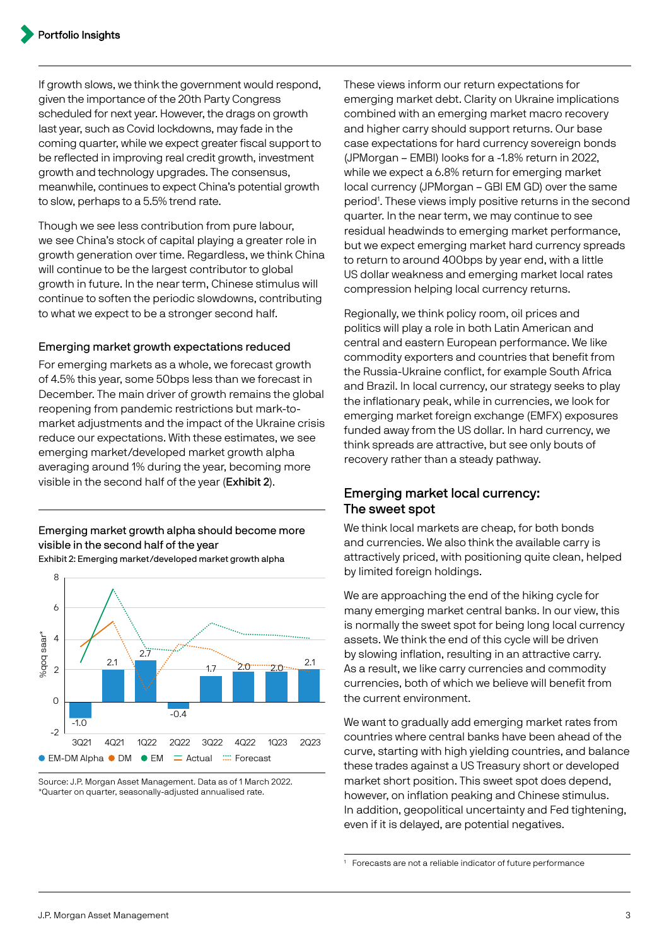If growth slows, we think the government would respond, given the importance of the 20th Party Congress scheduled for next year. However, the drags on growth last year, such as Covid lockdowns, may fade in the coming quarter, while we expect greater fiscal support to be reflected in improving real credit growth, investment growth and technology upgrades. The consensus, meanwhile, continues to expect China's potential growth to slow, perhaps to a 5.5% trend rate.

Though we see less contribution from pure labour, we see China's stock of capital playing a greater role in growth generation over time. Regardless, we think China will continue to be the largest contributor to global growth in future. In the near term, Chinese stimulus will continue to soften the periodic slowdowns, contributing to what we expect to be a stronger second half.

#### Emerging market growth expectations reduced

For emerging markets as a whole, we forecast growth of 4.5% this year, some 50bps less than we forecast in December. The main driver of growth remains the global reopening from pandemic restrictions but mark-tomarket adjustments and the impact of the Ukraine crisis reduce our expectations. With these estimates, we see emerging market/developed market growth alpha averaging around 1% during the year, becoming more visible in the second half of the year (Exhibit 2).

Emerging market growth alpha should become more visible in the second half of the year Exhibit 2: Emerging market/developed market growth alpha



Source: J.P. Morgan Asset Management. Data as of 1 March 2022. \*Quarter on quarter, seasonally-adjusted annualised rate.

These views inform our return expectations for emerging market debt. Clarity on Ukraine implications combined with an emerging market macro recovery and higher carry should support returns. Our base case expectations for hard currency sovereign bonds (JPMorgan – EMBI) looks for a -1.8% return in 2022, while we expect a 6.8% return for emerging market local currency (JPMorgan – GBI EM GD) over the same period<sup>1</sup>. These views imply positive returns in the second quarter. In the near term, we may continue to see residual headwinds to emerging market performance, but we expect emerging market hard currency spreads to return to around 400bps by year end, with a little US dollar weakness and emerging market local rates compression helping local currency returns.

Regionally, we think policy room, oil prices and politics will play a role in both Latin American and central and eastern European performance. We like commodity exporters and countries that benefit from the Russia-Ukraine conflict, for example South Africa and Brazil. In local currency, our strategy seeks to play the inflationary peak, while in currencies, we look for emerging market foreign exchange (EMFX) exposures funded away from the US dollar. In hard currency, we think spreads are attractive, but see only bouts of recovery rather than a steady pathway.

## Emerging market local currency: The sweet spot

We think local markets are cheap, for both bonds and currencies. We also think the available carry is attractively priced, with positioning quite clean, helped by limited foreign holdings.

We are approaching the end of the hiking cycle for many emerging market central banks. In our view, this is normally the sweet spot for being long local currency assets. We think the end of this cycle will be driven by slowing inflation, resulting in an attractive carry. As a result, we like carry currencies and commodity currencies, both of which we believe will benefit from the current environment.

We want to gradually add emerging market rates from countries where central banks have been ahead of the curve, starting with high yielding countries, and balance these trades against a US Treasury short or developed market short position. This sweet spot does depend, however, on inflation peaking and Chinese stimulus. In addition, geopolitical uncertainty and Fed tightening, even if it is delayed, are potential negatives.

Forecasts are not a reliable indicator of future performance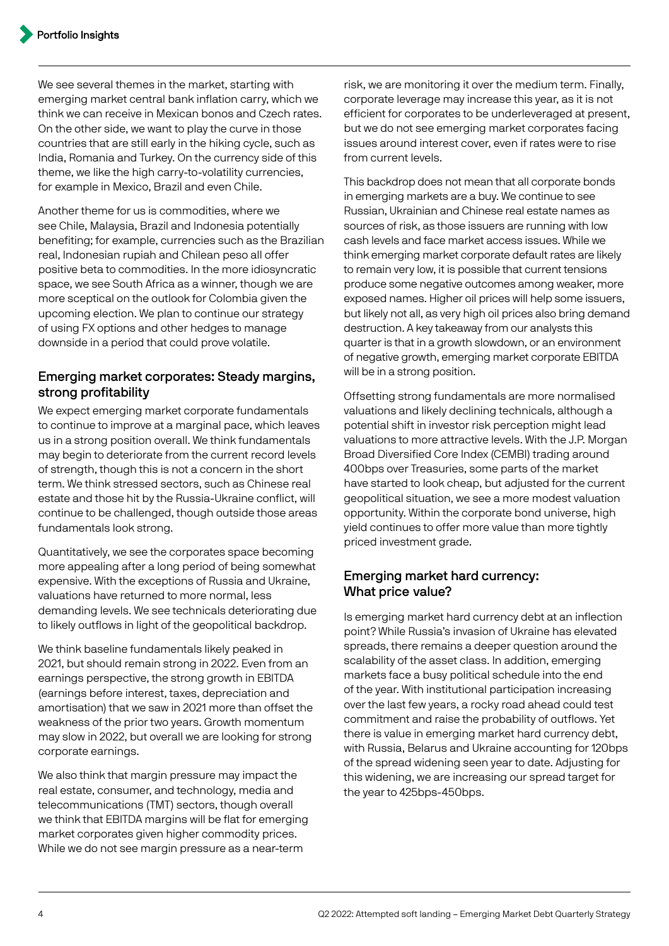We see several themes in the market, starting with emerging market central bank inflation carry, which we think we can receive in Mexican bonos and Czech rates. On the other side, we want to play the curve in those countries that are still early in the hiking cycle, such as India, Romania and Turkey. On the currency side of this theme, we like the high carry-to-volatility currencies, for example in Mexico, Brazil and even Chile.

Another theme for us is commodities, where we see Chile, Malaysia, Brazil and Indonesia potentially benefiting; for example, currencies such as the Brazilian real, Indonesian rupiah and Chilean peso all offer positive beta to commodities. In the more idiosyncratic space, we see South Africa as a winner, though we are more sceptical on the outlook for Colombia given the upcoming election. We plan to continue our strategy of using FX options and other hedges to manage downside in a period that could prove volatile.

## Emerging market corporates: Steady margins, strong profitability

We expect emerging market corporate fundamentals to continue to improve at a marginal pace, which leaves us in a strong position overall. We think fundamentals may begin to deteriorate from the current record levels of strength, though this is not a concern in the short term. We think stressed sectors, such as Chinese real estate and those hit by the Russia-Ukraine conflict, will continue to be challenged, though outside those areas fundamentals look strong.

Quantitatively, we see the corporates space becoming more appealing after a long period of being somewhat expensive. With the exceptions of Russia and Ukraine, valuations have returned to more normal, less demanding levels. We see technicals deteriorating due to likely outflows in light of the geopolitical backdrop.

We think baseline fundamentals likely peaked in 2021, but should remain strong in 2022. Even from an earnings perspective, the strong growth in EBITDA (earnings before interest, taxes, depreciation and amortisation) that we saw in 2021 more than offset the weakness of the prior two years. Growth momentum may slow in 2022, but overall we are looking for strong corporate earnings.

We also think that margin pressure may impact the real estate, consumer, and technology, media and telecommunications (TMT) sectors, though overall we think that EBITDA margins will be flat for emerging market corporates given higher commodity prices. While we do not see margin pressure as a near-term

risk, we are monitoring it over the medium term. Finally, corporate leverage may increase this year, as it is not efficient for corporates to be underleveraged at present, but we do not see emerging market corporates facing issues around interest cover, even if rates were to rise from current levels.

This backdrop does not mean that all corporate bonds in emerging markets are a buy. We continue to see Russian, Ukrainian and Chinese real estate names as sources of risk, as those issuers are running with low cash levels and face market access issues. While we think emerging market corporate default rates are likely to remain very low, it is possible that current tensions produce some negative outcomes among weaker, more exposed names. Higher oil prices will help some issuers, but likely not all, as very high oil prices also bring demand destruction. A key takeaway from our analysts this quarter is that in a growth slowdown, or an environment of negative growth, emerging market corporate EBITDA will be in a strong position.

Offsetting strong fundamentals are more normalised valuations and likely declining technicals, although a potential shift in investor risk perception might lead valuations to more attractive levels. With the J.P. Morgan Broad Diversified Core Index (CEMBI) trading around 400bps over Treasuries, some parts of the market have started to look cheap, but adjusted for the current geopolitical situation, we see a more modest valuation opportunity. Within the corporate bond universe, high yield continues to offer more value than more tightly priced investment grade.

## Emerging market hard currency: What price value?

Is emerging market hard currency debt at an inflection point? While Russia's invasion of Ukraine has elevated spreads, there remains a deeper question around the scalability of the asset class. In addition, emerging markets face a busy political schedule into the end of the year. With institutional participation increasing over the last few years, a rocky road ahead could test commitment and raise the probability of outflows. Yet there is value in emerging market hard currency debt, with Russia, Belarus and Ukraine accounting for 120bps of the spread widening seen year to date. Adjusting for this widening, we are increasing our spread target for the year to 425bps-450bps.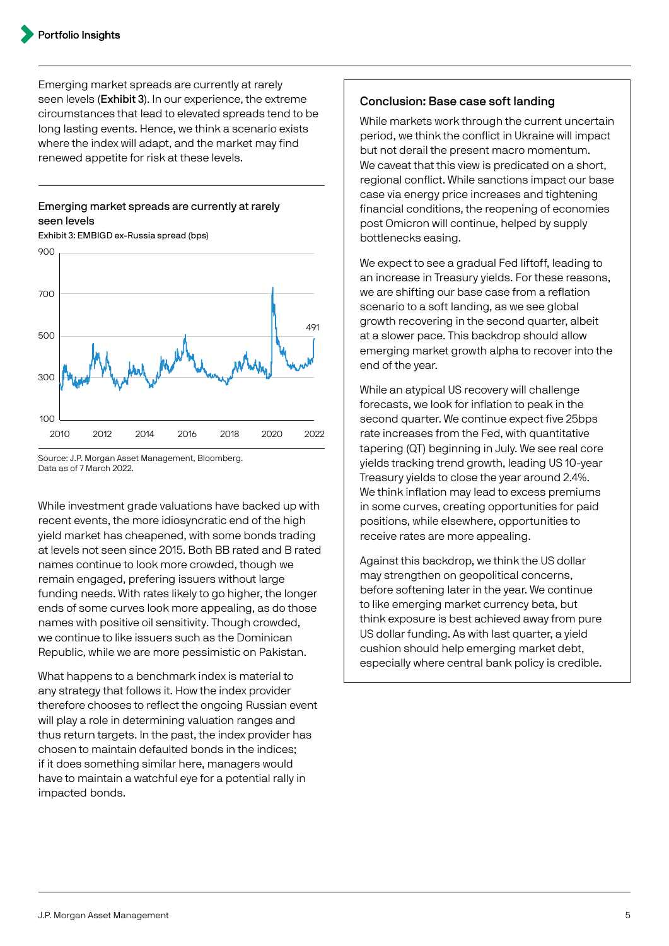Emerging market spreads are currently at rarely seen levels (Exhibit 3). In our experience, the extreme circumstances that lead to elevated spreads tend to be long lasting events. Hence, we think a scenario exists where the index will adapt, and the market may find renewed appetite for risk at these levels.

### Emerging market spreads are currently at rarely seen levels



Exhibit 3: EMBIGD ex-Russia spread (bps)

#### Source: J.P. Morgan Asset Management, Bloomberg. Data as of 7 March 2022.

While investment grade valuations have backed up with recent events, the more idiosyncratic end of the high yield market has cheapened, with some bonds trading at levels not seen since 2015. Both BB rated and B rated names continue to look more crowded, though we remain engaged, prefering issuers without large funding needs. With rates likely to go higher, the longer ends of some curves look more appealing, as do those names with positive oil sensitivity. Though crowded, we continue to like issuers such as the Dominican Republic, while we are more pessimistic on Pakistan.

What happens to a benchmark index is material to any strategy that follows it. How the index provider therefore chooses to reflect the ongoing Russian event will play a role in determining valuation ranges and thus return targets. In the past, the index provider has chosen to maintain defaulted bonds in the indices; if it does something similar here, managers would have to maintain a watchful eye for a potential rally in impacted bonds.

#### Conclusion: Base case soft landing

While markets work through the current uncertain period, we think the conflict in Ukraine will impact but not derail the present macro momentum. We caveat that this view is predicated on a short, regional conflict. While sanctions impact our base case via energy price increases and tightening financial conditions, the reopening of economies post Omicron will continue, helped by supply bottlenecks easing.

We expect to see a gradual Fed liftoff, leading to an increase in Treasury yields. For these reasons, we are shifting our base case from a reflation scenario to a soft landing, as we see global growth recovering in the second quarter, albeit at a slower pace. This backdrop should allow emerging market growth alpha to recover into the end of the year.

While an atypical US recovery will challenge forecasts, we look for inflation to peak in the second quarter. We continue expect five 25bps rate increases from the Fed, with quantitative tapering (QT) beginning in July. We see real core yields tracking trend growth, leading US 10-year Treasury yields to close the year around 2.4%. We think inflation may lead to excess premiums in some curves, creating opportunities for paid positions, while elsewhere, opportunities to receive rates are more appealing.

Against this backdrop, we think the US dollar may strengthen on geopolitical concerns, before softening later in the year. We continue to like emerging market currency beta, but think exposure is best achieved away from pure US dollar funding. As with last quarter, a yield cushion should help emerging market debt, especially where central bank policy is credible.